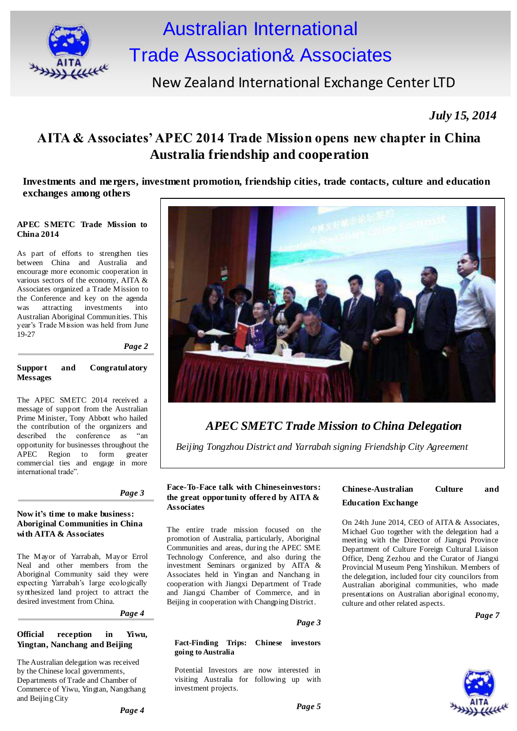

# Australian International Trade Association& Associates

# New Zealand International Exchange Center LTD

*July 15, 2014*

### **AITA & Associates' APEC 2014 Trade Mission opens new chapter in China Australia friendship and cooperation**

**Investments and mergers, investment promotion, friendship cities, trade contacts, culture and education exchanges among others**

#### **APEC S METC Trade Mission to China 2014**

As part of efforts to strengthen ties between China and Australia and encourage more economic cooperation in various sectors of the economy, AITA & Associates organized a Trade Mission to the Conference and key on the agenda<br>was attracting investments into was attracting investments Australian Aboriginal Communities. This year's Trade Mission was held from June 19-27

*Page 2*

#### **Support and Congratulatory Messages**

The APEC SMETC 2014 received a message of support from the Australian Prime Minister, Tony Abbott who hailed the contribution of the organizers and described the conference as "an opportunity for businesses throughout the APEC Region to form greater commercial ties and engage in more international trade".

#### **Now it's time to make business: Aboriginal Communities in China with AITA & Associates**

The Mayor of Yarrabah, Mayor Errol Neal and other members from the Aboriginal Community said they were expecting Yarrabah's large ecologically synthesized land project to attract the desired investment from China.

*Page 4*

#### **Official reception in Yiwu, Yingtan, Nanchang and Beijing**

The Australian delegation was received by the Chinese local governments, Departments of Trade and Chamber of Commerce of Yiwu, Yingtan, Nangchang and Beijing City



# *APEC SMETC Trade Mission to China Delegation*

*Beijing Tongzhou District and Yarrabah signing Friendship City Agreement*

#### **Face-To-Face talk with Chineseinvestors:** Chinese-Australian Culture and <br>*Page 3* **the great enportunity offered by AITA 8 the great opportunity offered by AITA & Associates**

The entire trade mission focused on the promotion of Australia, particularly, Aboriginal Communities and areas, during the APEC SME Technology Conference, and also during the investment Seminars organized by AITA & Associates held in Yingtan and Nanchang in cooperation with Jiangxi Department of Trade and Jiangxi Chamber of Commerce, and in Beijing in cooperation with Changping District.

#### *Page 3*

#### **Fact-Finding Trips: Chinese investors going to Australia**

Potential Investors are now interested in visiting Australia for following up with investment projects.

# **Education Exchange**

On 24th June 2014, CEO of AITA & Associates, Michael Guo together with the delegation had a meeting with the Director of Jiangxi Province Department of Culture Foreign Cultural Liaison Office, Deng Zezhou and the Curator of Jiangxi Provincial Museum Peng Yinshikun. Members of the delegation, included four city councilors from Australian aboriginal communities, who made presentations on Australian aboriginal economy, culture and other related aspects.

*Page 7*

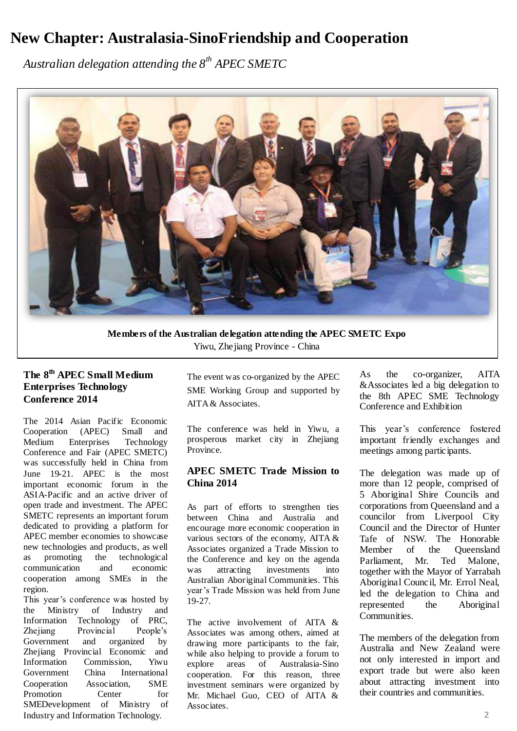# **New Chapter: Australasia-SinoFriendship and Cooperation**

*Australian delegation attending the 8th APEC SMETC* 



**Members of the Australian delegation attending the APEC SMETC Expo** Yiwu, Zhejiang Province - China

### **The 8th APEC Small Medium Enterprises Technology Conference 2014**

The 2014 Asian Pacific Economic Cooperation (APEC) Small and<br>Medium Enterprises Technology Enterprises Technology Conference and Fair (APEC SMETC) was successfully held in China from June 19-21. APEC is the most important economic forum in the ASIA-Pacific and an active driver of open trade and investment. The APEC SMETC represents an important forum dedicated to providing a platform for APEC member economies to showcase new technologies and products, as well as promoting the technological communication and economic cooperation among SMEs in the region.

This year's conference was hosted by the Ministry of Industry and Information Technology of PRC, Zhejiang Provincial People's Government and organized by Zhejiang Provincial Economic and Information Commission, Yiwu Government China International Cooperation Association, SME Promotion Center for SMEDevelopment of Ministry of Industry and Information Technology.

The event was co-organized by the APEC SME Working Group and supported by AITA & Associates.

The conference was held in Yiwu, a prosperous market city in Zhejiang Province.

#### **APEC SMETC Trade Mission to China 2014**

As part of efforts to strengthen ties between China and Australia and encourage more economic cooperation in various sectors of the economy, AITA & Associates organized a Trade Mission to the Conference and key on the agenda was attracting investments into Australian Aboriginal Communities. This year's Trade Mission was held from June 19-27.

The active involvement of AITA & Associates was among others, aimed at drawing more participants to the fair, while also helping to provide a forum to<br>explore areas of Australasia-Sino areas of Australasia-Sino cooperation. For this reason, three investment seminars were organized by Mr. Michael Guo, CEO of AITA & Associates.

As the co-organizer, AITA &Associates led a big delegation to the 8th APEC SME Technology Conference and Exhibition

This year's conference fostered important friendly exchanges and meetings among participants.

The delegation was made up of more than 12 people, comprised of 5 Aboriginal Shire Councils and corporations from Queensland and a councilor from Liverpool City Council and the Director of Hunter Tafe of NSW. The Honorable Member of the Queensland Parliament, Mr. Ted Malone, together with the Mayor of Yarrabah Aboriginal Council, Mr. Errol Neal, led the delegation to China and represented the Aboriginal Communities.

The members of the delegation from Australia and New Zealand were not only interested in import and export trade but were also keen about attracting investment into their countries and communities.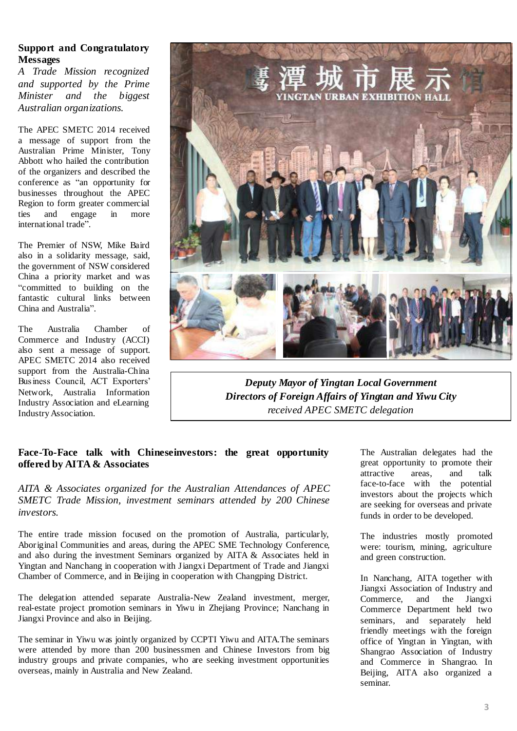#### **Support and Congratulatory Messages**

*A Trade Mission recognized and supported by the Prime Minister and the biggest Australian organizations.*

The APEC SMETC 2014 received a message of support from the Australian Prime Minister, Tony Abbott who hailed the contribution of the organizers and described the conference as "an opportunity for businesses throughout the APEC Region to form greater commercial ties and engage in more international trade".

The Premier of NSW, Mike Baird also in a solidarity message, said, the government of NSW considered China a priority market and was "committed to building on the fantastic cultural links between China and Australia".

The Australia Chamber of Commerce and Industry (ACCI) also sent a message of support. APEC SMETC 2014 also received support from the Australia-China Business Council, ACT Exporters' Network, Australia Information Industry Association and eLearning Industry Association.



*Deputy Mayor of Yingtan Local Government Directors of Foreign Affairs of Yingtan and Yiwu City received APEC SMETC delegation*

#### **Face-To-Face talk with Chineseinvestors: the great opportunity offered by AITA & Associates**

*AITA & Associates organized for the Australian Attendances of APEC SMETC Trade Mission, investment seminars attended by 200 Chinese investors.*

The entire trade mission focused on the promotion of Australia, particularly, Aboriginal Communities and areas, during the APEC SME Technology Conference, and also during the investment Seminars organized by AITA & Associates held in Yingtan and Nanchang in cooperation with Jiangxi Department of Trade and Jiangxi Chamber of Commerce, and in Beijing in cooperation with Changping District.

The delegation attended separate Australia-New Zealand investment, merger, real-estate project promotion seminars in Yiwu in Zhejiang Province; Nanchang in Jiangxi Province and also in Beijing.

The seminar in Yiwu was jointly organized by CCPTI Yiwu and AITA.The seminars were attended by more than 200 businessmen and Chinese Investors from big industry groups and private companies, who are seeking investment opportunities overseas, mainly in Australia and New Zealand.

The Australian delegates had the great opportunity to promote their<br>attractive areas, and talk attractive areas, and talk face-to-face with the potential investors about the projects which are seeking for overseas and private funds in order to be developed.

The industries mostly promoted were: tourism, mining, agriculture and green construction.

In Nanchang, AITA together with Jiangxi Association of Industry and Commerce, and the Jiangxi Commerce Department held two seminars, and separately held friendly meetings with the foreign office of Yingtan in Yingtan, with Shangrao Association of Industry and Commerce in Shangrao. In Beijing, AITA also organized a seminar.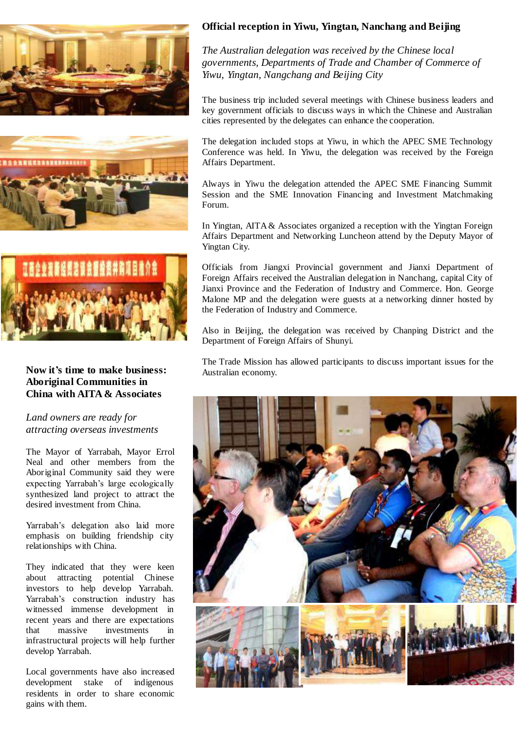





#### **Now it's time to make business: Aboriginal Communities in China with AITA & Associates**

#### *Land owners are ready for attracting overseas investments*

The Mayor of Yarrabah, Mayor Errol Neal and other members from the Aboriginal Community said they were expecting Yarrabah's large ecologically synthesized land project to attract the desired investment from China.

Yarrabah's delegation also laid more emphasis on building friendship city relationships with China.

They indicated that they were keen about attracting potential Chinese investors to help develop Yarrabah. Yarrabah's construction industry has witnessed immense development in recent years and there are expectations that massive investments in infrastructural projects will help further develop Yarrabah.

Local governments have also increased development stake of indigenous residents in order to share economic gains with them.

#### **Official reception in Yiwu, Yingtan, Nanchang and Beijing**

*The Australian delegation was received by the Chinese local governments, Departments of Trade and Chamber of Commerce of Yiwu, Yingtan, Nangchang and Beijing City*

The business trip included several meetings with Chinese business leaders and key government officials to discuss ways in which the Chinese and Australian cities represented by the delegates can enhance the cooperation.

The delegation included stops at Yiwu, in which the APEC SME Technology Conference was held. In Yiwu, the delegation was received by the Foreign Affairs Department.

Always in Yiwu the delegation attended the APEC SME Financing Summit Session and the SME Innovation Financing and Investment Matchmaking Forum.

In Yingtan, AITA & Associates organized a reception with the Yingtan Foreign Affairs Department and Networking Luncheon attend by the Deputy Mayor of Yingtan City.

Officials from Jiangxi Provincial government and Jianxi Department of Foreign Affairs received the Australian delegation in Nanchang, capital City of Jianxi Province and the Federation of Industry and Commerce. Hon. George Malone MP and the delegation were guests at a networking dinner hosted by the Federation of Industry and Commerce.

Also in Beijing, the delegation was received by Chanping District and the Department of Foreign Affairs of Shunyi.

The Trade Mission has allowed participants to discuss important issues for the Australian economy.

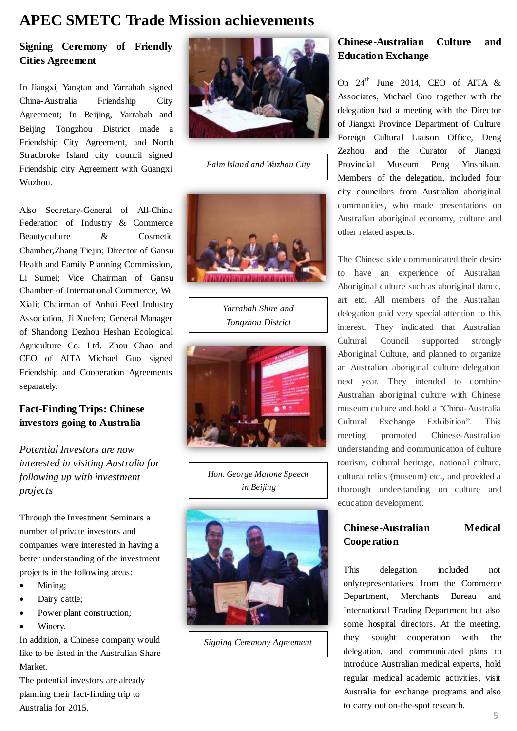## **APEC SMETC Trade Mission achievements**

### **Signing Ceremony of Friendly Cities Agreement**

In Jiangxi, Yangtan and Yarrabah signed China-Australia Friendship City Agreement; In Beijing, Yarrabah and Beijing Tongzhou District made a Friendship City Agreement, and North Stradbroke Island city council signed Friendship city Agreement with Guangxi Wuzhou.

Also Secretary-General of All-China Federation of Industry & Commerce Beautyculture & Cosmetic Chamber,Zhang Tiejin; Director of Gansu Health and Family Planning Commission, Li Sumei; Vice Chairman of Gansu Chamber of International Commerce, Wu Xiali; Chairman of Anhui Feed Industry Association, Ji Xuefen; General Manager of Shandong Dezhou Heshan Ecological Agriculture Co. Ltd. Zhou Chao and CEO of AITA Michael Guo signed Friendship and Cooperation Agreements separately.

#### **Fact-Finding Trips: Chinese investors going to Australia**

*Potential Investors are now interested in visiting Australia for following up with investment projects*

Through the Investment Seminars a number of private investors and companies were interested in having a better understanding of the investment projects in the following areas:

- Mining;
- Dairy cattle;
- Power plant construction;
- Winery.

In addition, a Chinese company would like to be listed in the Australian Share Market.

The potential investors are already planning their fact-finding trip to Australia for 2015.



*Palm Island and Wuzhou City*



*Yarrabah Shire and Tongzhou District*



*Hon. George Malone Speech in Beijing*



*Signing Ceremony Agreement*

### **Chinese-Australian Culture and Education Exchange**

On  $24^{th}$  June 2014, CEO of AITA & Associates, Michael Guo together with the delegation had a meeting with the Director of Jiangxi Province Department of Culture Foreign Cultural Liaison Office, Deng Zezhou and the Curator of Jiangxi Provincial Museum Peng Yinshikun. Members of the delegation, included four city councilors from Australian aboriginal communities, who made presentations on Australian aboriginal economy, culture and other related aspects.

The Chinese side communicated their desire to have an experience of Australian Aboriginal culture such as aboriginal dance, art etc. All members of the Australian delegation paid very special attention to this interest. They indicated that Australian Cultural Council supported strongly Aboriginal Culture, and planned to organize an Australian aboriginal culture delegation next year. They intended to combine Australian aboriginal culture with Chinese museum culture and hold a "China-Australia Cultural Exchange Exhibition". This meeting promoted Chinese-Australian understanding and communication of culture tourism, cultural heritage, national culture, cultural relics (museum) etc., and provided a thorough understanding on culture and education development.

### **Chinese-Australian Medical Cooperation**

This delegation included not onlyrepresentatives from the Commerce Department, Merchants Bureau and International Trading Department but also some hospital directors. At the meeting, they sought cooperation with the delegation, and communicated plans to introduce Australian medical experts, hold regular medical academic activities, visit Australia for exchange programs and also to carry out on-the-spot research.